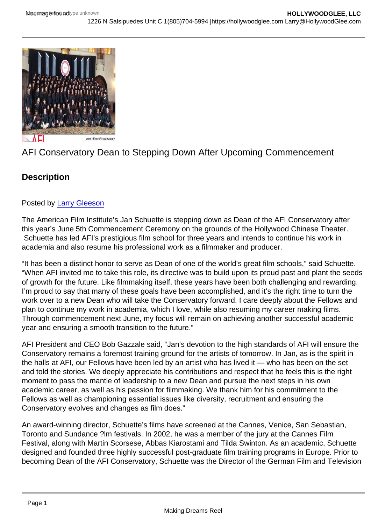# AFI Conservatory Dean to Stepping Down After Upcoming Commencement

## **Description**

### Posted by [Larry Gleeson](http://sbccfilmreviews.org/?s=Larry+Gleeson)

The American Film Institute's Jan Schuette is stepping down as Dean of the AFI Conservatory after this year's June 5th Commencement Ceremony on the grounds of the Hollywood Chinese Theater. Schuette has led AFI's prestigious film school for three years and intends to continue his work in academia and also resume his professional work as a filmmaker and producer.

"It has been a distinct honor to serve as Dean of one of the world's great film schools," said Schuette. "When AFI invited me to take this role, its directive was to build upon its proud past and plant the seeds of growth for the future. Like filmmaking itself, these years have been both challenging and rewarding. I'm proud to say that many of these goals have been accomplished, and it's the right time to turn the work over to a new Dean who will take the Conservatory forward. I care deeply about the Fellows and plan to continue my work in academia, which I love, while also resuming my career making films. Through commencement next June, my focus will remain on achieving another successful academic year and ensuring a smooth transition to the future."

AFI President and CEO Bob Gazzale said, "Jan's devotion to the high standards of AFI will ensure the Conservatory remains a foremost training ground for the artists of tomorrow. In Jan, as is the spirit in the halls at AFI, our Fellows have been led by an artist who has lived it — who has been on the set and told the stories. We deeply appreciate his contributions and respect that he feels this is the right moment to pass the mantle of leadership to a new Dean and pursue the next steps in his own academic career, as well as his passion for filmmaking. We thank him for his commitment to the Fellows as well as championing essential issues like diversity, recruitment and ensuring the Conservatory evolves and changes as film does."

An award-winning director, Schuette's films have screened at the Cannes, Venice, San Sebastian, Toronto and Sundance ?lm festivals. In 2002, he was a member of the jury at the Cannes Film Festival, along with Martin Scorsese, Abbas Kiarostami and Tilda Swinton. As an academic, Schuette designed and founded three highly successful post-graduate film training programs in Europe. Prior to becoming Dean of the AFI Conservatory, Schuette was the Director of the German Film and Television